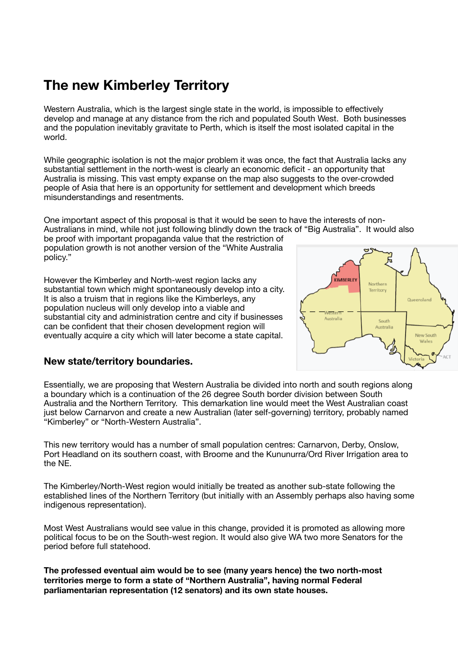# **The new Kimberley Territory**

Western Australia, which is the largest single state in the world, is impossible to effectively develop and manage at any distance from the rich and populated South West. Both businesses and the population inevitably gravitate to Perth, which is itself the most isolated capital in the world.

While geographic isolation is not the major problem it was once, the fact that Australia lacks any substantial settlement in the north-west is clearly an economic deficit - an opportunity that Australia is missing. This vast empty expanse on the map also suggests to the over-crowded people of Asia that here is an opportunity for settlement and development which breeds misunderstandings and resentments.

One important aspect of this proposal is that it would be seen to have the interests of non-Australians in mind, while not just following blindly down the track of "Big Australia". It would also

be proof with important propaganda value that the restriction of population growth is not another version of the "White Australia policy."

However the Kimberley and North-west region lacks any substantial town which might spontaneously develop into a city. It is also a truism that in regions like the Kimberleys, any population nucleus will only develop into a viable and substantial city and administration centre and city if businesses can be confident that their chosen development region will eventually acquire a city which will later become a state capital.



## **New state/territory boundaries.**

Essentially, we are proposing that Western Australia be divided into north and south regions along a boundary which is a continuation of the 26 degree South border division between South Australia and the Northern Territory. This demarkation line would meet the West Australian coast just below Carnarvon and create a new Australian (later self-governing) territory, probably named "Kimberley" or "North-Western Australia".

This new territory would has a number of small population centres: Carnarvon, Derby, Onslow, Port Headland on its southern coast, with Broome and the Kununurra/Ord River Irrigation area to the NE.

The Kimberley/North-West region would initially be treated as another sub-state following the established lines of the Northern Territory (but initially with an Assembly perhaps also having some indigenous representation).

Most West Australians would see value in this change, provided it is promoted as allowing more political focus to be on the South-west region. It would also give WA two more Senators for the period before full statehood.

**The professed eventual aim would be to see (many years hence) the two north-most territories merge to form a state of "Northern Australia", having normal Federal parliamentarian representation (12 senators) and its own state houses.**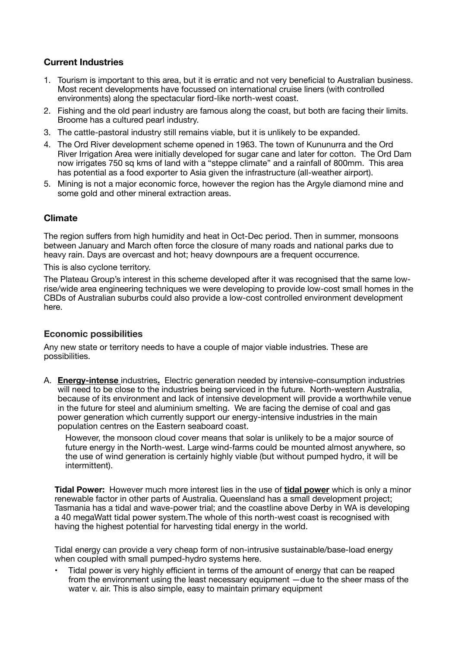# **Current Industries**

- 1. Tourism is important to this area, but it is erratic and not very beneficial to Australian business. Most recent developments have focussed on international cruise liners (with controlled environments) along the spectacular fiord-like north-west coast.
- 2. Fishing and the old pearl industry are famous along the coast, but both are facing their limits. Broome has a cultured pearl industry.
- 3. The cattle-pastoral industry still remains viable, but it is unlikely to be expanded.
- 4. The Ord River development scheme opened in 1963. The town of Kununurra and the Ord River Irrigation Area were initially developed for sugar cane and later for cotton. The Ord Dam now irrigates 750 sq kms of land with a "steppe climate" and a rainfall of 800mm. This area has potential as a food exporter to Asia given the infrastructure (all-weather airport).
- 5. Mining is not a major economic force, however the region has the Argyle diamond mine and some gold and other mineral extraction areas.

## **Climate**

The region suffers from high humidity and heat in Oct-Dec period. Then in summer, monsoons between January and March often force the closure of many roads and national parks due to heavy rain. Days are overcast and hot; heavy downpours are a frequent occurrence.

This is also cyclone territory.

The Plateau Group's interest in this scheme developed after it was recognised that the same lowrise/wide area engineering techniques we were developing to provide low-cost small homes in the CBDs of Australian suburbs could also provide a low-cost controlled environment development here.

## **Economic possibilities**

Any new state or territory needs to have a couple of major viable industries. These are possibilities.

A. **Energy-intense** industries**.** Electric generation needed by intensive-consumption industries will need to be close to the industries being serviced in the future. North-western Australia, because of its environment and lack of intensive development will provide a worthwhile venue in the future for steel and aluminium smelting. We are facing the demise of coal and gas power generation which currently support our energy-intensive industries in the main population centres on the Eastern seaboard coast.

However, the monsoon cloud cover means that solar is unlikely to be a major source of future energy in the North-west. Large wind-farms could be mounted almost anywhere, so the use of wind generation is certainly highly viable (but without pumped hydro, it will be intermittent).

**Tidal Power:** However much more interest lies in the use of **tidal power** which is only a minor renewable factor in other parts of Australia. Queensland has a small development project; Tasmania has a tidal and wave-power trial; and the coastline above Derby in WA is developing a 40 megaWatt tidal power system.The whole of this north-west coast is recognised with having the highest potential for harvesting tidal energy in the world.

Tidal energy can provide a very cheap form of non-intrusive sustainable/base-load energy when coupled with small pumped-hydro systems here.

• Tidal power is very highly efficient in terms of the amount of energy that can be reaped from the environment using the least necessary equipment —due to the sheer mass of the water v. air. This is also simple, easy to maintain primary equipment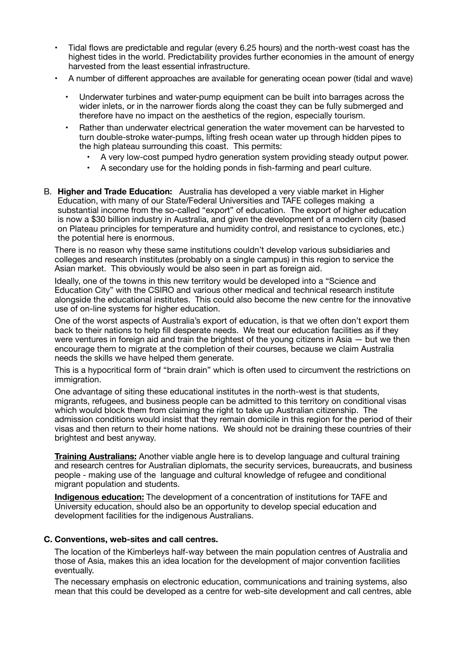- Tidal flows are predictable and regular (every 6.25 hours) and the north-west coast has the highest tides in the world. Predictability provides further economies in the amount of energy harvested from the least essential infrastructure.
- A number of different approaches are available for generating ocean power (tidal and wave)
	- Underwater turbines and water-pump equipment can be built into barrages across the wider inlets, or in the narrower fiords along the coast they can be fully submerged and therefore have no impact on the aesthetics of the region, especially tourism.
	- Rather than underwater electrical generation the water movement can be harvested to turn double-stroke water-pumps, lifting fresh ocean water up through hidden pipes to the high plateau surrounding this coast. This permits:
		- A very low-cost pumped hydro generation system providing steady output power.
		- A secondary use for the holding ponds in fish-farming and pearl culture.
- B. **Higher and Trade Education:** Australia has developed a very viable market in Higher Education, with many of our State/Federal Universities and TAFE colleges making a substantial income from the so-called "export" of education. The export of higher education is now a \$30 billion industry in Australia, and given the development of a modern city (based on Plateau principles for temperature and humidity control, and resistance to cyclones, etc.) the potential here is enormous.

There is no reason why these same institutions couldn't develop various subsidiaries and colleges and research institutes (probably on a single campus) in this region to service the Asian market. This obviously would be also seen in part as foreign aid.

Ideally, one of the towns in this new territory would be developed into a "Science and Education City" with the CSIRO and various other medical and technical research institute alongside the educational institutes. This could also become the new centre for the innovative use of on-line systems for higher education.

One of the worst aspects of Australia's export of education, is that we often don't export them back to their nations to help fill desperate needs. We treat our education facilities as if they were ventures in foreign aid and train the brightest of the young citizens in Asia – but we then encourage them to migrate at the completion of their courses, because we claim Australia needs the skills we have helped them generate.

This is a hypocritical form of "brain drain" which is often used to circumvent the restrictions on immigration.

One advantage of siting these educational institutes in the north-west is that students, migrants, refugees, and business people can be admitted to this territory on conditional visas which would block them from claiming the right to take up Australian citizenship. The admission conditions would insist that they remain domicile in this region for the period of their visas and then return to their home nations. We should not be draining these countries of their brightest and best anyway.

**Training Australians:** Another viable angle here is to develop language and cultural training and research centres for Australian diplomats, the security services, bureaucrats, and business people - making use of the language and cultural knowledge of refugee and conditional migrant population and students.

**Indigenous education:** The development of a concentration of institutions for TAFE and University education, should also be an opportunity to develop special education and development facilities for the indigenous Australians.

#### **C. Conventions, web-sites and call centres.**

The location of the Kimberleys half-way between the main population centres of Australia and those of Asia, makes this an idea location for the development of major convention facilities eventually.

The necessary emphasis on electronic education, communications and training systems, also mean that this could be developed as a centre for web-site development and call centres, able